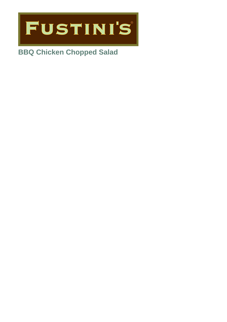

# **BBQ Chicken Chopped Salad**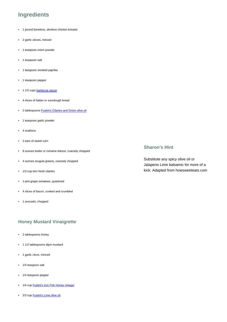# **Ingredients**

- 1 pound boneless, skinless chicken breasts
- 2 garlic cloves, minced
- 1 teaspoon onion powder
- 1 teaspoon salt
- 1 teaspoon smoked paprika
- 1 teaspoon pepper
- 1 1/2 cups **[barbecue sauce](https://www.fustinis.com/recipes-nav/recipes/classic-bbq-sauce)**
- 4 slices of Italian or sourdough bread
- 2 tablespoons [Fustini's Cilantro and Onion](https://www.fustinis.com/order/cilantro-onion_152/) olive oil
- 1 teaspoon garlic powder
- 4 scallions
- 2 ears of sweet corn
- 8 ounces butter or romaine lettuce, coarsely chopped
- 4 ounces arugula greens, coarsely chopped
- 1/3 cup torn fresh cilantro
- 1-pint grape tomatoes, quartered
- 4 slices of bacon, cooked and crumbled
- 1 avocado, chopped

# **Honey Mustard Vinaigrette**

- 2 tablespoons honey
- 1 1/2 tablespoons dijon mustard
- 1 garlic clove, minced
- 1/4 teaspoon salt
- 1/4 teaspoon pepper
- 1/4 cup **Fustini's [Iron Fish Honey vinegar](https://www.fustinis.com/order/iron-fish-honey_497/)**
- 2/3 cup [Fustini's Lime olive oil](https://www.fustinis.com/order/persian-lime_90/)

#### **Sharon's Hint**

Substitute any spicy olive oil or Jalapeno Lime balsamic for more of a kick. Adapted from howsweeteats.com